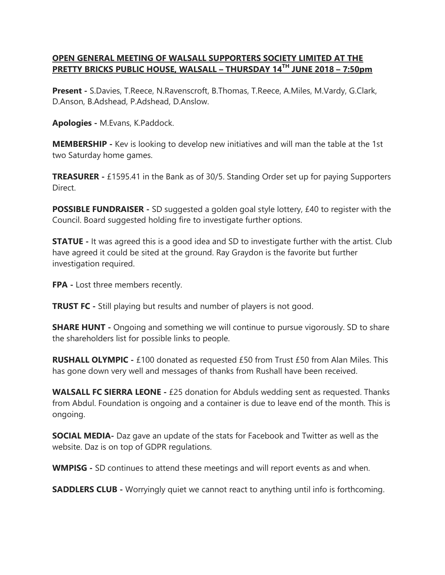## **OPEN GENERAL MEETING OF WALSALL SUPPORTERS SOCIETY LIMITED AT THE PRETTY BRICKS PUBLIC HOUSE, WALSALL – THURSDAY 14TH JUNE 2018 – 7:50pm**

**Present -** S.Davies, T.Reece, N.Ravenscroft, B.Thomas, T.Reece, A.Miles, M.Vardy, G.Clark, D.Anson, B.Adshead, P.Adshead, D.Anslow.

**Apologies -** M.Evans, K.Paddock.

**MEMBERSHIP -** Kev is looking to develop new initiatives and will man the table at the 1st two Saturday home games.

**TREASURER -** £1595.41 in the Bank as of 30/5. Standing Order set up for paying Supporters Direct.

**POSSIBLE FUNDRAISER** - SD suggested a golden goal style lottery, £40 to register with the Council. Board suggested holding fire to investigate further options.

**STATUE** - It was agreed this is a good idea and SD to investigate further with the artist. Club have agreed it could be sited at the ground. Ray Graydon is the favorite but further investigation required.

**FPA -** Lost three members recently.

**TRUST FC** - Still playing but results and number of players is not good.

**SHARE HUNT -** Ongoing and something we will continue to pursue vigorously. SD to share the shareholders list for possible links to people.

**RUSHALL OLYMPIC -** £100 donated as requested £50 from Trust £50 from Alan Miles. This has gone down very well and messages of thanks from Rushall have been received.

**WALSALL FC SIERRA LEONE -** £25 donation for Abduls wedding sent as requested. Thanks from Abdul. Foundation is ongoing and a container is due to leave end of the month. This is ongoing.

**SOCIAL MEDIA-** Daz gave an update of the stats for Facebook and Twitter as well as the website. Daz is on top of GDPR regulations.

**WMPISG -** SD continues to attend these meetings and will report events as and when.

**SADDLERS CLUB -** Worryingly quiet we cannot react to anything until info is forthcoming.